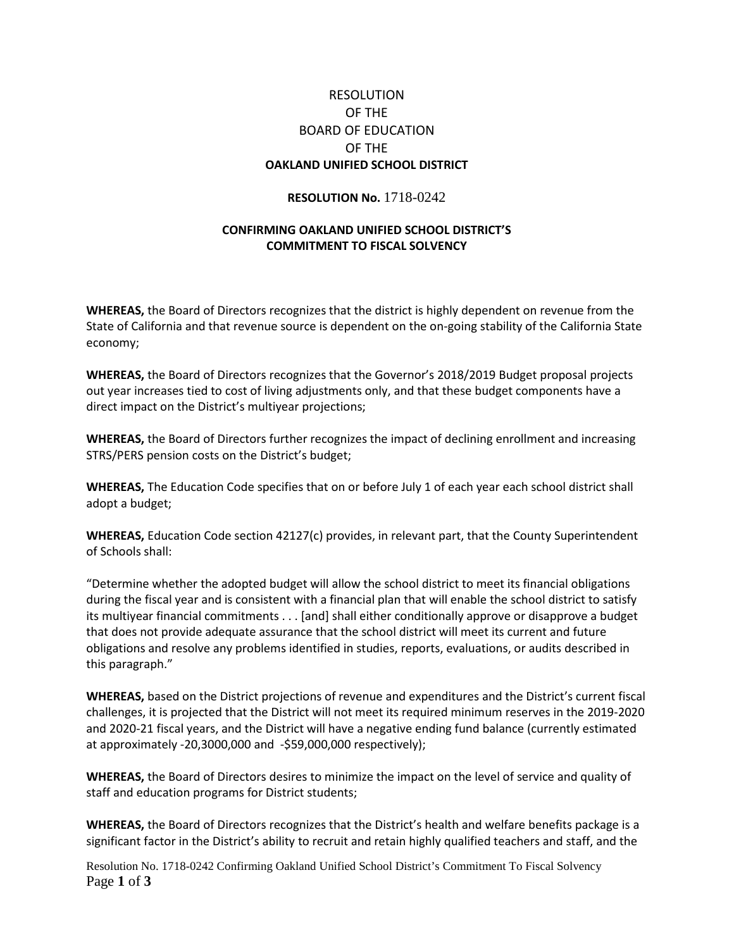## RESOLUTION OF THE BOARD OF EDUCATION OF THE **OAKLAND UNIFIED SCHOOL DISTRICT**

## **RESOLUTION No.** 1718-0242

## **CONFIRMING OAKLAND UNIFIED SCHOOL DISTRICT'S COMMITMENT TO FISCAL SOLVENCY**

**WHEREAS,** the Board of Directors recognizes that the district is highly dependent on revenue from the State of California and that revenue source is dependent on the on-going stability of the California State economy;

**WHEREAS,** the Board of Directors recognizes that the Governor's 2018/2019 Budget proposal projects out year increases tied to cost of living adjustments only, and that these budget components have a direct impact on the District's multiyear projections;

**WHEREAS,** the Board of Directors further recognizes the impact of declining enrollment and increasing STRS/PERS pension costs on the District's budget;

**WHEREAS,** The Education Code specifies that on or before July 1 of each year each school district shall adopt a budget;

**WHEREAS,** Education Code section 42127(c) provides, in relevant part, that the County Superintendent of Schools shall:

"Determine whether the adopted budget will allow the school district to meet its financial obligations during the fiscal year and is consistent with a financial plan that will enable the school district to satisfy its multiyear financial commitments . . . [and] shall either conditionally approve or disapprove a budget that does not provide adequate assurance that the school district will meet its current and future obligations and resolve any problems identified in studies, reports, evaluations, or audits described in this paragraph."

**WHEREAS,** based on the District projections of revenue and expenditures and the District's current fiscal challenges, it is projected that the District will not meet its required minimum reserves in the 2019-2020 and 2020-21 fiscal years, and the District will have a negative ending fund balance (currently estimated at approximately -20,3000,000 and -\$59,000,000 respectively);

**WHEREAS,** the Board of Directors desires to minimize the impact on the level of service and quality of staff and education programs for District students;

**WHEREAS,** the Board of Directors recognizes that the District's health and welfare benefits package is a significant factor in the District's ability to recruit and retain highly qualified teachers and staff, and the

Resolution No. 1718-0242 Confirming Oakland Unified School District's Commitment To Fiscal Solvency Page **1** of **3**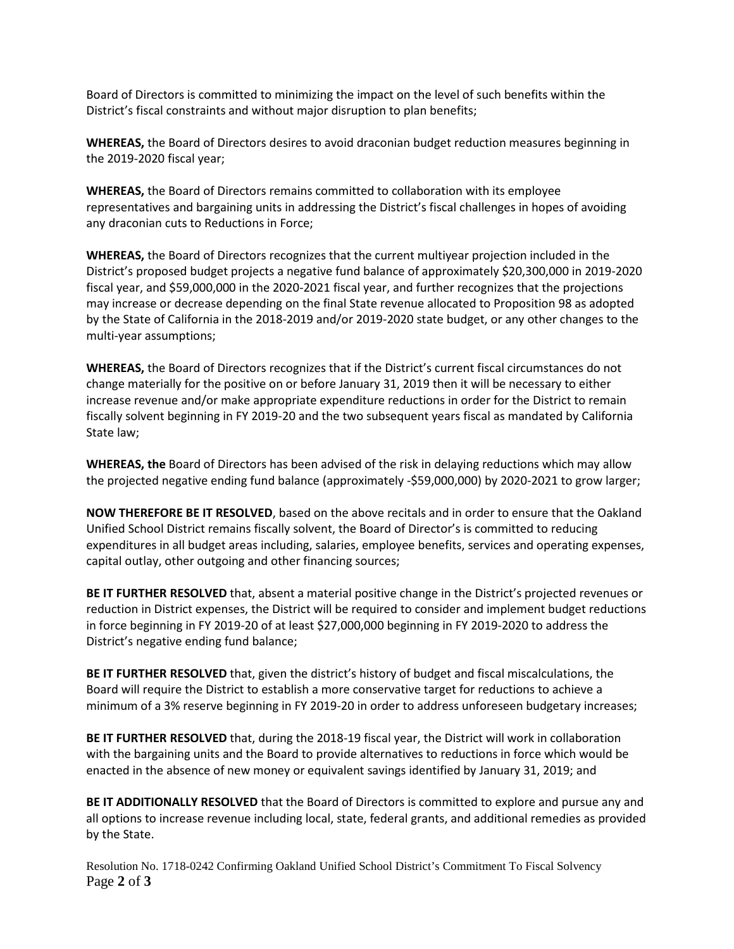Board of Directors is committed to minimizing the impact on the level of such benefits within the District's fiscal constraints and without major disruption to plan benefits;

**WHEREAS,** the Board of Directors desires to avoid draconian budget reduction measures beginning in the 2019-2020 fiscal year;

**WHEREAS,** the Board of Directors remains committed to collaboration with its employee representatives and bargaining units in addressing the District's fiscal challenges in hopes of avoiding any draconian cuts to Reductions in Force;

**WHEREAS,** the Board of Directors recognizes that the current multiyear projection included in the District's proposed budget projects a negative fund balance of approximately \$20,300,000 in 2019-2020 fiscal year, and \$59,000,000 in the 2020-2021 fiscal year, and further recognizes that the projections may increase or decrease depending on the final State revenue allocated to Proposition 98 as adopted by the State of California in the 2018-2019 and/or 2019-2020 state budget, or any other changes to the multi-year assumptions;

**WHEREAS,** the Board of Directors recognizes that if the District's current fiscal circumstances do not change materially for the positive on or before January 31, 2019 then it will be necessary to either increase revenue and/or make appropriate expenditure reductions in order for the District to remain fiscally solvent beginning in FY 2019-20 and the two subsequent years fiscal as mandated by California State law;

**WHEREAS, the** Board of Directors has been advised of the risk in delaying reductions which may allow the projected negative ending fund balance (approximately -\$59,000,000) by 2020-2021 to grow larger;

**NOW THEREFORE BE IT RESOLVED**, based on the above recitals and in order to ensure that the Oakland Unified School District remains fiscally solvent, the Board of Director's is committed to reducing expenditures in all budget areas including, salaries, employee benefits, services and operating expenses, capital outlay, other outgoing and other financing sources;

**BE IT FURTHER RESOLVED** that, absent a material positive change in the District's projected revenues or reduction in District expenses, the District will be required to consider and implement budget reductions in force beginning in FY 2019-20 of at least \$27,000,000 beginning in FY 2019-2020 to address the District's negative ending fund balance;

**BE IT FURTHER RESOLVED** that, given the district's history of budget and fiscal miscalculations, the Board will require the District to establish a more conservative target for reductions to achieve a minimum of a 3% reserve beginning in FY 2019-20 in order to address unforeseen budgetary increases;

**BE IT FURTHER RESOLVED** that, during the 2018-19 fiscal year, the District will work in collaboration with the bargaining units and the Board to provide alternatives to reductions in force which would be enacted in the absence of new money or equivalent savings identified by January 31, 2019; and

**BE IT ADDITIONALLY RESOLVED** that the Board of Directors is committed to explore and pursue any and all options to increase revenue including local, state, federal grants, and additional remedies as provided by the State.

Resolution No. 1718-0242 Confirming Oakland Unified School District's Commitment To Fiscal Solvency Page **2** of **3**